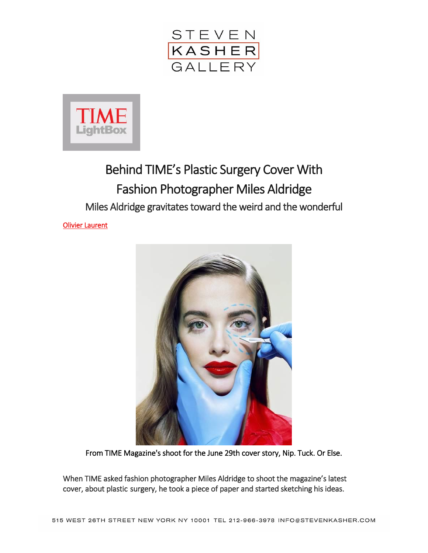



## Behind TIME's Plastic Surgery Cover With Fashion Photographer Miles Aldridge Miles Aldridge gravitates toward the weird and the wonderful

[Olivier Laurent](http://time.com/author/olivier-laurent/) 



From TIME Magazine's shoot for the June 29th cover story, Nip. Tuck. Or Else.

When TIME asked fashion photographer Miles Aldridge to shoot the magazine's latest cover, about plastic surgery, he took a piece of paper and started sketching his ideas.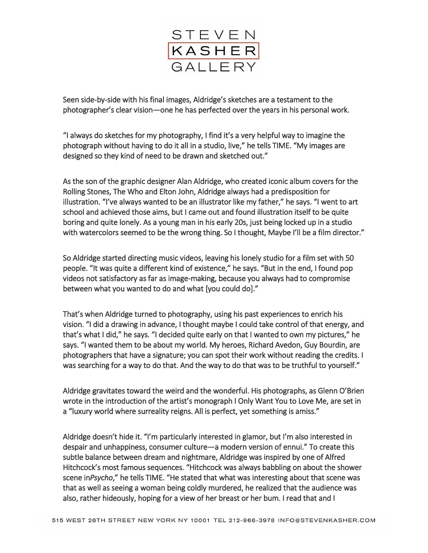

Seen side-by-side with his final images, Aldridge's sketches are a testament to the photographer's clear vision—one he has perfected over the years in his personal work.

"I always do sketches for my photography, I find it's a very helpful way to imagine the photograph without having to do it all in a studio, live," he tells TIME. "My images are designed so they kind of need to be drawn and sketched out."

As the son of the graphic designer Alan Aldridge, who created iconic album covers for the Rolling Stones, The Who and Elton John, Aldridge always had a predisposition for illustration. "I've always wanted to be an illustrator like my father," he says. "I went to art school and achieved those aims, but I came out and found illustration itself to be quite boring and quite lonely. As a young man in his early 20s, just being locked up in a studio with watercolors seemed to be the wrong thing. So I thought, Maybe I'll be a film director."

So Aldridge started directing music videos, leaving his lonely studio for a film set with 50 people. "It was quite a different kind of existence," he says. "But in the end, I found pop videos not satisfactory as far as image-making, because you always had to compromise between what you wanted to do and what [you could do]."

That's when Aldridge turned to photography, using his past experiences to enrich his vision. "I did a drawing in advance, I thought maybe I could take control of that energy, and that's what I did," he says. "I decided quite early on that I wanted to own my pictures," he says. "I wanted them to be about my world. My heroes, Richard Avedon, Guy Bourdin, are photographers that have a signature; you can spot their work without reading the credits. I was searching for a way to do that. And the way to do that was to be truthful to yourself."

Aldridge gravitates toward the weird and the wonderful. His photographs, as Glenn O'Brien wrote in the introduction of the artist's monograph I Only Want You to Love Me, are set in a "luxury world where surreality reigns. All is perfect, yet something is amiss."

Aldridge doesn't hide it. "I'm particularly interested in glamor, but I'm also interested in despair and unhappiness, consumer culture—a modern version of ennui." To create this subtle balance between dream and nightmare, Aldridge was inspired by one of Alfred Hitchcock's most famous sequences. "Hitchcock was always babbling on about the shower scene in*Psycho*," he tells TIME. "He stated that what was interesting about that scene was that as well as seeing a woman being coldly murdered, he realized that the audience was also, rather hideously, hoping for a view of her breast or her bum. I read that and I